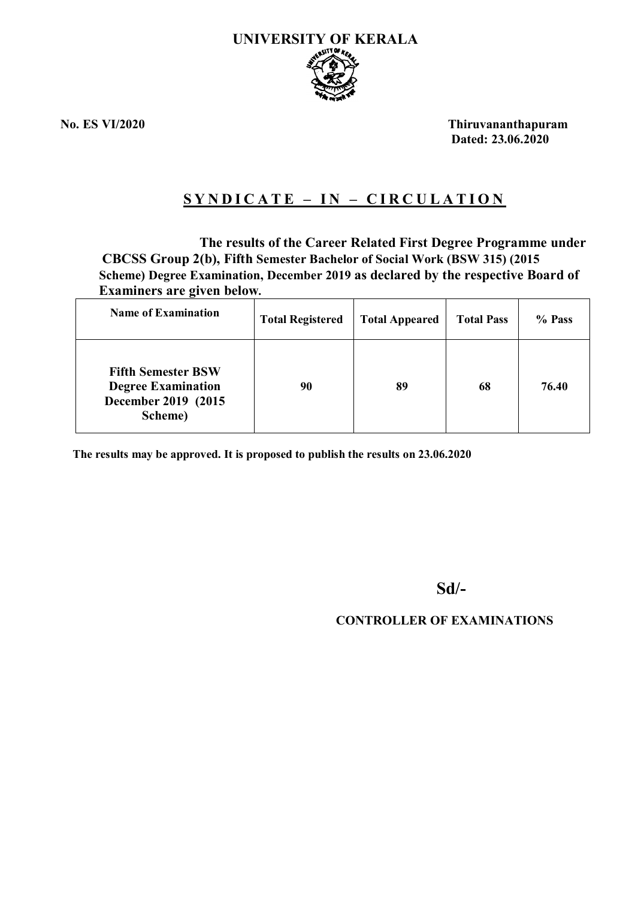

**No. ES VI/2020 Thiruvananthapuram Dated: 23.06.2020**

# **S Y N D I C A T E – I N – C I R C U L A T I O N**

 **The results of the Career Related First Degree Programme under CBCSS Group 2(b), Fifth Semester Bachelor of Social Work (BSW 315) (2015 Scheme) Degree Examination, December 2019 as declared by the respective Board of Examiners are given below.**

| <b>Name of Examination</b>                                                                | <b>Total Registered</b> | <b>Total Appeared</b> | <b>Total Pass</b> | % Pass |
|-------------------------------------------------------------------------------------------|-------------------------|-----------------------|-------------------|--------|
| <b>Fifth Semester BSW</b><br><b>Degree Examination</b><br>December 2019 (2015)<br>Scheme) | 90                      | 89                    | 68                | 76.40  |

**The results may be approved. It is proposed to publish the results on 23.06.2020**

**Sd/-** 

## **CONTROLLER OF EXAMINATIONS**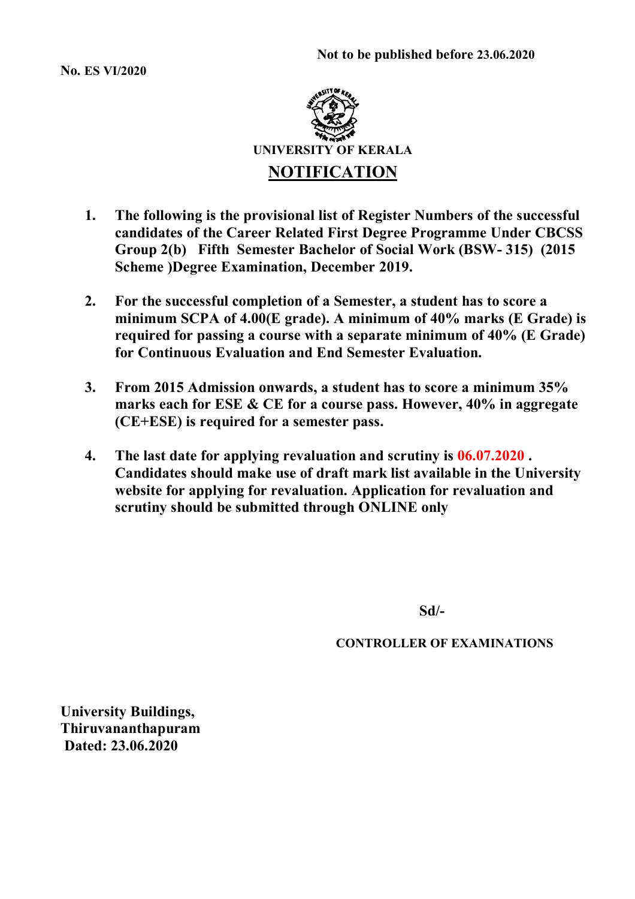**No. ES VI/2020**



- **1. The following is the provisional list of Register Numbers of the successful candidates of the Career Related First Degree Programme Under CBCSS Group 2(b) Fifth Semester Bachelor of Social Work (BSW- 315) (2015 Scheme )Degree Examination, December 2019.**
- **2. For the successful completion of a Semester, a student has to score a minimum SCPA of 4.00(E grade). A minimum of 40% marks (E Grade) is required for passing a course with a separate minimum of 40% (E Grade) for Continuous Evaluation and End Semester Evaluation.**
- **3. From 2015 Admission onwards, a student has to score a minimum 35% marks each for ESE & CE for a course pass. However, 40% in aggregate (CE+ESE) is required for a semester pass.**
- **4. The last date for applying revaluation and scrutiny is 06.07.2020 . Candidates should make use of draft mark list available in the University website for applying for revaluation. Application for revaluation and scrutiny should be submitted through ONLINE only**

 **Sd/-** 

**CONTROLLER OF EXAMINATIONS**

**University Buildings, Thiruvananthapuram Dated: 23.06.2020**